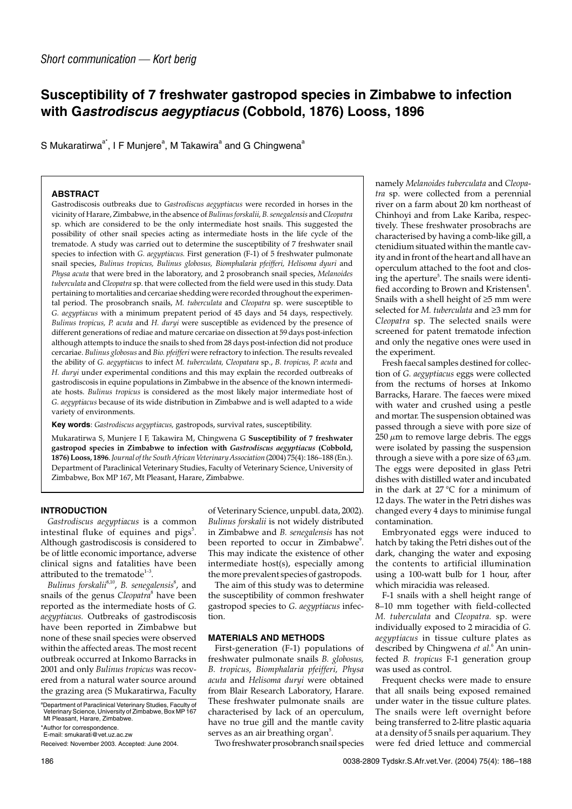# **Susceptibility of 7 freshwater gastropod species in Zimbabwe to infection with Gastrodiscus aegyptiacus (Cobbold, 1876) Looss, 1896**

S Mukaratirwa $a^*$ , I F Munjere ${}^{\rm a}$ , M Takawira ${}^{\rm a}$  and G Chingwena ${}^{\rm a}$ 

## **ABSTRACT**

Gastrodiscosis outbreaks due to *Gastrodiscus aegyptiacus* were recorded in horses in the vicinity of Harare, Zimbabwe, in the absence of *Bulinus forskalii, B. senegalensis* and *Cleopatra* sp. which are considered to be the only intermediate host snails. This suggested the possibility of other snail species acting as intermediate hosts in the life cycle of the trematode. A study was carried out to determine the susceptibility of 7 freshwater snail species to infection with *G. aegyptiacus.* First generation (F-1) of 5 freshwater pulmonate snail species, *Bulinus tropicus, Bulinus globosus, Biomphalaria pfeifferi, Helisoma dyuri* and *Physa acuta* that were bred in the laboratory, and 2 prosobranch snail species, *Melanoides tuberculata* and *Cleopatra* sp. that were collected from the field were used in this study. Data pertaining to mortalities and cercariae shedding were recorded throughout the experimental period. The prosobranch snails, *M. tuberculata* and *Cleopatra* sp. were susceptible to *G. aegyptiacus* with a minimum prepatent period of 45 days and 54 days, respectively. *Bulinus tropicus, P. acuta* and *H. duryi* were susceptible as evidenced by the presence of different generations of rediae and mature cercariae on dissection at 59 days post-infection although attempts to induce the snails to shed from 28 days post-infection did not produce cercariae. *Bulinus globosus* and *Bio. pfeifferi* were refractory to infection. The results revealed the ability of *G. aegyptiacus* to infect *M. tuberculata, Cleopatara* sp., *B. tropicus, P. acuta* and *H. duryi* under experimental conditions and this may explain the recorded outbreaks of gastrodiscosis in equine populations in Zimbabwe in the absence of the known intermediate hosts. *Bulinus tropicus* is considered as the most likely major intermediate host of *G. aegyptiacus* because of its wide distribution in Zimbabwe and is well adapted to a wide variety of environments.

**Key words**: *Gastrodiscus aegyptiacus,* gastropods, survival rates, susceptibility.

Mukaratirwa S, Munjere I F, Takawira M, Chingwena G **Susceptibility of 7 freshwater gastropod species in Zimbabwe to infection with** *Gastrodiscus aegyptiacus* **(Cobbold, 1876) Looss, 1896**.*Journal of the South African Veterinary Association* (2004) 75(4): 186–188 (En.). Department of Paraclinical Veterinary Studies, Faculty of Veterinary Science, University of Zimbabwe, Box MP 167, Mt Pleasant, Harare, Zimbabwe.

## **INTRODUCTION**

*Gastrodiscus aegyptiacus* is a common intestinal fluke of equines and  $\rm{pigs^5.}$ Although gastrodiscosis is considered to be of little economic importance, adverse clinical signs and fatalities have been attributed to the trematode<sup>1-3</sup>.

Bulinus forskalii<sup>8,10</sup>, B. senegalensis<sup>8</sup>, and snails of the genus *Cleopatra*<sup>8</sup> have been reported as the intermediate hosts of *G. aegyptiacus.* Outbreaks of gastrodiscosis have been reported in Zimbabwe but none of these snail species were observed within the affected areas. The most recent outbreak occurred at Inkomo Barracks in 2001 and only *Bulinus tropicus* was recovered from a natural water source around the grazing area (S Mukaratirwa, Faculty of Veterinary Science, unpubl. data, 2002). *Bulinus forskalii* is not widely distributed in Zimbabwe and *B. senegalensis* has not been reported to occur in Zimbabwe<sup>9</sup>. This may indicate the existence of other intermediate host(s), especially among the more prevalent species of gastropods.

The aim of this study was to determine the susceptibility of common freshwater gastropod species to *G. aegyptiacus* infection.

# **MATERIALS AND METHODS**

First-generation (F-1) populations of freshwater pulmonate snails *B. globosus, B. tropicus, Biomphalaria pfeifferi, Physa acuta* and *Helisoma duryi* were obtained from Blair Research Laboratory, Harare. These freshwater pulmonate snails are characterised by lack of an operculum, have no true gill and the mantle cavity serves as an air breathing  $\sigma$ gan $^5$ .

Two freshwater prosobranch snail species

namely *Melanoides tuberculata* and *Cleopatra* sp. were collected from a perennial river on a farm about 20 km northeast of Chinhoyi and from Lake Kariba, respectively. These freshwater prosobrachs are characterised by having a comb-like gill, a ctenidium situated within the mantle cavity and in front of the heart and all have an operculum attached to the foot and closing the aperture<sup>5</sup>. The snails were identified according to Brown and Kristensen $^4$ . Snails with a shell height of ≥5 mm were selected for *M. tuberculata* and ≥3 mm for *Cleopatra* sp. The selected snails were screened for patent trematode infection and only the negative ones were used in the experiment.

Fresh faecal samples destined for collection of *G. aegyptiacus* eggs were collected from the rectums of horses at Inkomo Barracks, Harare. The faeces were mixed with water and crushed using a pestle and mortar. The suspension obtained was passed through a sieve with pore size of  $250 \mu m$  to remove large debris. The eggs were isolated by passing the suspension through a sieve with a pore size of  $63 \mu m$ . The eggs were deposited in glass Petri dishes with distilled water and incubated in the dark at 27 °C for a minimum of 12 days. The water in the Petri dishes was changed every 4 days to minimise fungal contamination.

Embryonated eggs were induced to hatch by taking the Petri dishes out of the dark, changing the water and exposing the contents to artificial illumination using a 100-watt bulb for 1 hour, after which miracidia was released.

F-1 snails with a shell height range of 8–10 mm together with field-collected *M. tuberculata* and *Cleopatra.* sp. were individually exposed to 2 miracidia of *G. aegyptiacus* in tissue culture plates as described by Chingwena *et al.*<sup>6</sup> An uninfected *B. tropicus* F-1 generation group was used as control.

Frequent checks were made to ensure that all snails being exposed remained under water in the tissue culture plates. The snails were left overnight before being transferred to 2-litre plastic aquaria at a density of 5 snails per aquarium. They were fed dried lettuce and commercial

a Department of Paraclinical Veterinary Studies, Faculty of Veterinary Science, University of Zimbabwe, Box MP 167 Mt Pleasant, Harare, Zimbabwe.

<sup>\*</sup>Author for correspondence. E-mail: smukarati@vet.uz.ac.zw

Received: November 2003. Accepted: June 2004.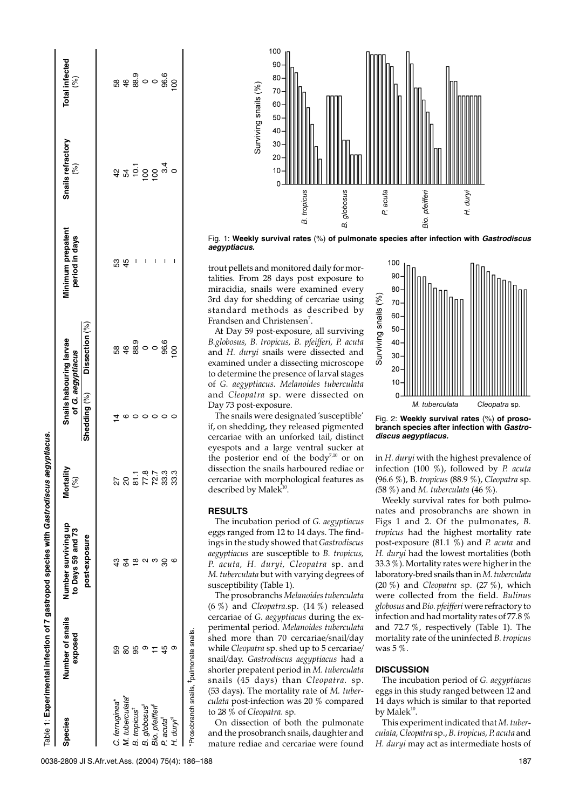| <b>Species</b>                  | Number of snails<br>exposed | Number surviving up<br>to Days 59 and 73 | $r$ tality<br>$\binom{9}{0}$<br><u>ຣັ</u> | Snails habouring larvae<br>of G. aegyptiacus | <b>Minimum prepatent</b><br>period in days | Snails refractory<br>$\binom{9}{6}$ | Total infected<br>(%)         |
|---------------------------------|-----------------------------|------------------------------------------|-------------------------------------------|----------------------------------------------|--------------------------------------------|-------------------------------------|-------------------------------|
|                                 |                             | post-exposure                            |                                           | Shedding (%) Dissection (%)                  |                                            |                                     |                               |
| C. ferruginea*                  | 59                          | 43                                       |                                           |                                              | 53                                         |                                     |                               |
| M. tuberculata*                 | 80                          | 34                                       |                                           |                                              | 45                                         |                                     |                               |
| <b>B.</b> tropicus <sup>t</sup> | 99                          |                                          |                                           |                                              |                                            |                                     |                               |
| B. globosus <sup>‡</sup>        |                             |                                          | 251 - 87<br>251 - 87<br>27 - 87           | စ္က စစ္တဲ့<br>အမွစ္ထဲ ဝ ဝ                    |                                            |                                     | စ္တစ္တစ္တစ္<br>အမွစ္တစ္တစ္တစ္ |
| Bio. pfeifferi <sup>f</sup>     |                             |                                          |                                           |                                              |                                            |                                     |                               |
| P. acuta <sup>‡</sup>           | 45                          | 80                                       | 33.3                                      | 96.6                                         | ı                                          | $470004$<br>$440004$                |                               |
| H. $duryi†$                     |                             |                                          | 33.3                                      |                                              | I                                          |                                     | $\overline{8}$                |



Fig. 1: **Weekly survival rates** (%) **of pulmonate species after infection with Gastrodiscus aegyptiacus.**

trout pellets and monitored daily for mortalities. From 28 days post exposure to miracidia, snails were examined every 3rd day for shedding of cercariae using standard methods as described by Frandsen and Christensen<sup>7</sup>.

At Day 59 post-exposure, all surviving *B.globosus, B. tropicus, B. pfeifferi, P. acuta* and *H. duryi* snails were dissected and examined under a dissecting microscope to determine the presence of larval stages of *G. aegyptiacus. Melanoides tuberculata* and *Cleopatra* sp. were dissected on Day 73 post-exposure.

The snails were designated 'susceptible' if, on shedding, they released pigmented cercariae with an unforked tail, distinct eyespots and a large ventral sucker at the posterior end of the body<sup>7,10</sup> or on dissection the snails harboured rediae or cercariae with morphological features as described by Male $\tilde{k}^{10}$ .

#### **RESULTS**

The incubation period of *G. aegyptiacus* eggs ranged from 12 to 14 days. The findings in the study showed that *Gastrodiscus aegyptiacus* are susceptible to *B. tropicus, P. acuta, H. duryi, Cleopatra* sp. and *M. tuberculata* but with varying degrees of susceptibility (Table 1).

The prosobranchs *Melanoides tuberculata* (6 %) and *Cleopatra.*sp. (14 %) released cercariae of *G. aegyptiacus* during the experimental period. *Melanoides tuberculata* shed more than 70 cercariae/snail/day while *Cleopatra* sp. shed up to 5 cercariae/ snail/day. *Gastrodiscus aegyptiacus* had a shorter prepatent period in *M. tuberculata* snails (45 days) than *Cleopatra.* sp. (53 days). The mortality rate of *M. tuberculata* post-infection was 20 % compared to 28 % of *Cleopatra.* sp.

On dissection of both the pulmonate and the prosobranch snails, daughter and mature rediae and cercariae were found



Fig. 2: **Weekly survival rates** (%) **of prosobranch species after infection with Gastrodiscus aegyptiacus.**

in *H. duryi* with the highest prevalence of infection (100 %), followed by *P. acuta* (96.6 %), B. *tropicus* (88.9 %), *Cleopatra* sp. *(*58 %) and *M. tuberculata* (46 %).

Weekly survival rates for both pulmonates and prosobranchs are shown in Figs 1 and 2. Of the pulmonates, *B. tropicus* had the highest mortality rate post-exposure (81.1 %) and *P. acuta* and *H. duryi* had the lowest mortalities (both 33.3 %). Mortality rates were higher in the laboratory-bred snails than in*M. tuberculata* (20 %) and *Cleopatra* sp. (27 %), which were collected from the field. *Bulinus globosus* and*Bio. pfeifferi* were refractory to infection and had mortality rates of 77.8 % and 72.7 %, respectively (Table 1). The mortality rate of the uninfected *B. tropicus* was  $5\%$ .

## **DISCUSSION**

The incubation period of *G. aegyptiacus* eggs in this study ranged between 12 and 14 days which is similar to that reported by Male $k^{10}$ .

This experiment indicated that *M. tuberculata, Cleopatra* sp., *B. tropicus, P. acuta* and *H. duryi* may act as intermediate hosts of

0038-2809 Jl S.Afr.vet.Ass. (2004) 75(4): 186-188 187

 $\frac{1}{2}$